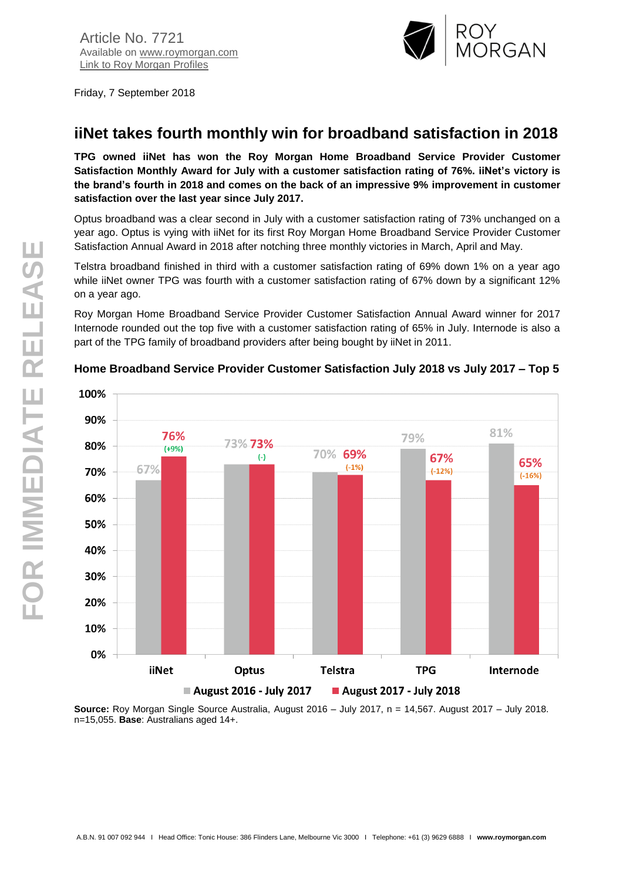

Friday, 7 September 2018

# **iiNet takes fourth monthly win for broadband satisfaction in 2018**

**TPG owned iiNet has won the Roy Morgan Home Broadband Service Provider Customer Satisfaction Monthly Award for July with a customer satisfaction rating of 76%. iiNet's victory is the brand's fourth in 2018 and comes on the back of an impressive 9% improvement in customer satisfaction over the last year since July 2017.**

Optus broadband was a clear second in July with a customer satisfaction rating of 73% unchanged on a year ago. Optus is vying with iiNet for its first Roy Morgan Home Broadband Service Provider Customer Satisfaction Annual Award in 2018 after notching three monthly victories in March, April and May.

Telstra broadband finished in third with a customer satisfaction rating of 69% down 1% on a year ago while iiNet owner TPG was fourth with a customer satisfaction rating of 67% down by a significant 12% on a year ago.

Roy Morgan Home Broadband Service Provider Customer Satisfaction Annual Award winner for 2017 Internode rounded out the top five with a customer satisfaction rating of 65% in July. Internode is also a part of the TPG family of broadband providers after being bought by iiNet in 2011.



#### **Home Broadband Service Provider Customer Satisfaction July 2018 vs July 2017 – Top 5**

**Source:** Roy Morgan Single Source Australia, August 2016 – July 2017, n = 14,567. August 2017 – July 2018. n=15,055. **Base**: Australians aged 14+.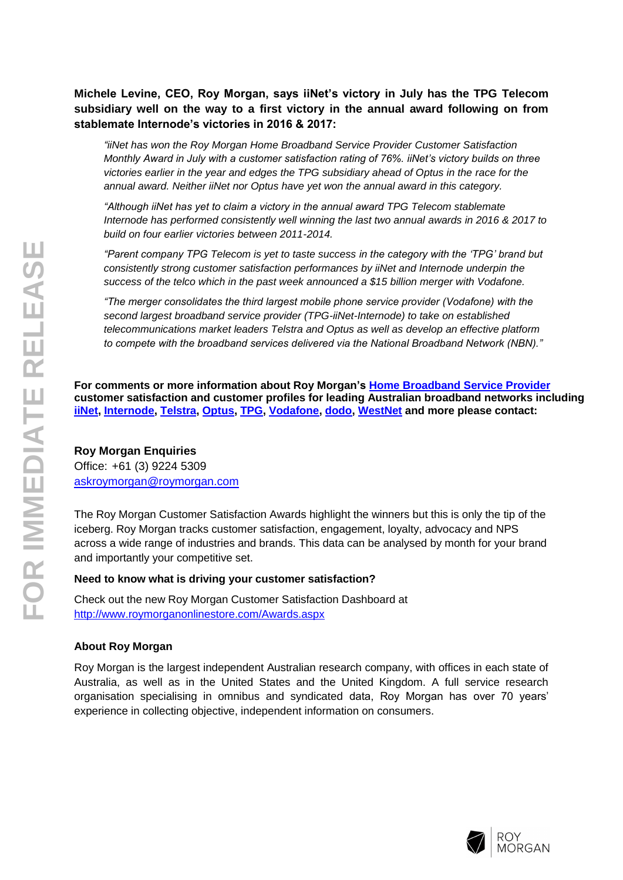## **Michele Levine, CEO, Roy Morgan, says iiNet's victory in July has the TPG Telecom subsidiary well on the way to a first victory in the annual award following on from stablemate Internode's victories in 2016 & 2017:**

*"iiNet has won the Roy Morgan Home Broadband Service Provider Customer Satisfaction Monthly Award in July with a customer satisfaction rating of 76%. iiNet's victory builds on three victories earlier in the year and edges the TPG subsidiary ahead of Optus in the race for the annual award. Neither iiNet nor Optus have yet won the annual award in this category.*

*"Although iiNet has yet to claim a victory in the annual award TPG Telecom stablemate Internode has performed consistently well winning the last two annual awards in 2016 & 2017 to build on four earlier victories between 2011-2014.*

*"Parent company TPG Telecom is yet to taste success in the category with the 'TPG' brand but consistently strong customer satisfaction performances by iiNet and Internode underpin the success of the telco which in the past week announced a \$15 billion merger with Vodafone.*

*"The merger consolidates the third largest mobile phone service provider (Vodafone) with the second largest broadband service provider (TPG-iiNet-Internode) to take on established telecommunications market leaders Telstra and Optus as well as develop an effective platform to compete with the broadband services delivered via the National Broadband Network (NBN)."*

**For comments or more information about Roy Morgan's [Home Broadband Service Provider](http://www.roymorganonlinestore.com/Browse/Australia/Telecommunication-and-Technology/Internet-Service-Providers-(ISP)/ISP-Customers.aspx) customer satisfaction and customer profiles for leading Australian broadband networks including [iiNet,](http://www.roymorganonlinestore.com/Browse/Australia/Telecommunication-and-Technology/Internet-Service-Providers-(ISP)/ISP-Customers/iiNet-ISP-Customer-Profile.aspx) [Internode,](http://www.roymorganonlinestore.com/Browse/Australia/Telecommunication-and-Technology/Internet-Service-Providers-(ISP)/ISP-Customers/Internode-ISP-Customer-Profile.aspx) [Telstra, Optus,](http://www.roymorganonlinestore.com/Browse/Australia/Telecommunication-and-Technology/Internet-Service-Providers-(ISP)/ISP-Customers/OPTUSnet-ISP-Customer-Profile.aspx) [TPG,](http://www.roymorganonlinestore.com/Browse/Australia/Telecommunication-and-Technology/Internet-Service-Providers-(ISP)/ISP-Customers/TPG-ISP-Customer-Profile.aspx) [Vodafone,](http://www.roymorganonlinestore.com/Browse/Australia/Telecommunication-and-Technology/Internet-Service-Providers-(ISP)/ISP-Customers/Vodafone-ISP-Customer-Profile.aspx) [dodo,](http://www.roymorganonlinestore.com/Browse/Australia/Telecommunication-and-Technology/Internet-Service-Providers-(ISP)/ISP-Customers/dodo-ISP-Customer-Profile.aspx) [WestNet](http://www.roymorganonlinestore.com/Browse/Australia/Telecommunication-and-Technology/Internet-Service-Providers-(ISP)/ISP-Customers/WestNet-ISP-Customer-Profile.aspx) and more please contact:**

### **Roy Morgan Enquiries**

Office: +61 (3) 9224 5309 [askroymorgan@roymorgan.com](mailto:askroymorgan@roymorgan.com)

The Roy Morgan Customer Satisfaction Awards highlight the winners but this is only the tip of the iceberg. Roy Morgan tracks customer satisfaction, engagement, loyalty, advocacy and NPS across a wide range of industries and brands. This data can be analysed by month for your brand and importantly your competitive set.

#### **Need to know what is driving your customer satisfaction?**

Check out the new Roy Morgan Customer Satisfaction Dashboard at <http://www.roymorganonlinestore.com/Awards.aspx>

### **About Roy Morgan**

Roy Morgan is the largest independent Australian research company, with offices in each state of Australia, as well as in the United States and the United Kingdom. A full service research organisation specialising in omnibus and syndicated data, Roy Morgan has over 70 years' experience in collecting objective, independent information on consumers.